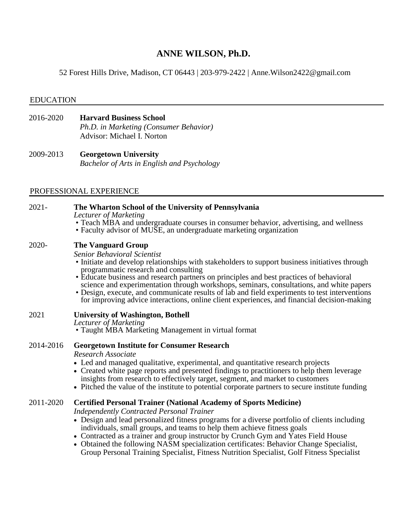# **ANNE WILSON, Ph.D.**

52 Forest Hills Drive, Madison, CT 06443 | 203-979-2422 | Anne.Wilson2422@gmail.com

#### EDUCATION

- 2016-2020 **Harvard Business School**  *Ph.D. in Marketing (Consumer Behavior)* Advisor: Michael I. Norton
- 2009-2013 **Georgetown University**  *Bachelor of Arts in English and Psychology*

#### PROFESSIONAL EXPERIENCE

2021- **The Wharton School of the University of Pennsylvania** *Lecturer of Marketing* • Teach MBA and undergraduate courses in consumer behavior, advertising, and wellness • Faculty advisor of MUSE, an undergraduate marketing organization 2020- **The Vanguard Group**  *Senior Behavioral Scientist* • Initiate and develop relationships with stakeholders to support business initiatives through programmatic research and consulting • Educate business and research partners on principles and best practices of behavioral science and experimentation through workshops, seminars, consultations, and white papers

• Design, execute, and communicate results of lab and field experiments to test interventions for improving advice interactions, online client experiences, and financial decision-making

| 2021 | <b>University of Washington, Bothell</b>                                                                                         |  |
|------|----------------------------------------------------------------------------------------------------------------------------------|--|
|      | $I_{\text{c}}$ and $I_{\text{c}}$ and $I_{\text{c}}$ and $I_{\text{c}}$ and $I_{\text{c}}$ and $I_{\text{c}}$ and $I_{\text{c}}$ |  |

- *Lecturer of Marketing*
- Taught MBA Marketing Management in virtual format

### 2014-2016 **Georgetown Institute for Consumer Research**

*Research Associate*

- Led and managed qualitative, experimental, and quantitative research projects
- Created white page reports and presented findings to practitioners to help them leverage insights from research to effectively target, segment, and market to customers
- Pitched the value of the institute to potential corporate partners to secure institute funding

#### 2011-2020 **Certified Personal Trainer (National Academy of Sports Medicine)**

*Independently Contracted Personal Trainer*

- Design and lead personalized fitness programs for a diverse portfolio of clients including individuals, small groups, and teams to help them achieve fitness goals
- Contracted as a trainer and group instructor by Crunch Gym and Yates Field House
- Obtained the following NASM specialization certificates: Behavior Change Specialist, Group Personal Training Specialist, Fitness Nutrition Specialist, Golf Fitness Specialist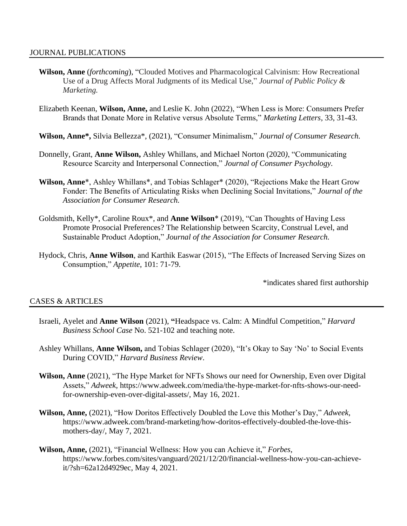- **Wilson, Anne** (*forthcoming*), "Clouded Motives and Pharmacological Calvinism: How Recreational Use of a Drug Affects Moral Judgments of its Medical Use," *Journal of Public Policy & Marketing.*
- Elizabeth Keenan, **Wilson, Anne,** and Leslie K. John (2022), "When Less is More: Consumers Prefer Brands that Donate More in Relative versus Absolute Terms," *Marketing Letters,* 33, 31-43.
- **Wilson, Anne\*,** Silvia Bellezza\*, (2021)*,* "Consumer Minimalism," *Journal of Consumer Research.*
- Donnelly, Grant, **Anne Wilson,** Ashley Whillans, and Michael Norton (2020*)*, "Communicating Resource Scarcity and Interpersonal Connection," *Journal of Consumer Psychology.*
- **Wilson, Anne**\*, Ashley Whillans\*, and Tobias Schlager\* (2020), "Rejections Make the Heart Grow Fonder: The Benefits of Articulating Risks when Declining Social Invitations," *Journal of the Association for Consumer Research.*
- Goldsmith, Kelly\*, Caroline Roux\*, and **Anne Wilson**\* (2019), "Can Thoughts of Having Less Promote Prosocial Preferences? The Relationship between Scarcity, Construal Level, and Sustainable Product Adoption," *Journal of the Association for Consumer Research.*
- Hydock, Chris, **Anne Wilson**, and Karthik Easwar (2015), "The Effects of Increased Serving Sizes on Consumption," *Appetite*, 101: 71-79.

\*indicates shared first authorship

### CASES & ARTICLES

- Israeli, Ayelet and **Anne Wilson** (2021), **"**Headspace vs. Calm: A Mindful Competition," *Harvard Business School Case* No. 521-102 and teaching note.
- Ashley Whillans, **Anne Wilson,** and Tobias Schlager (2020), "It's Okay to Say 'No' to Social Events During COVID," *Harvard Business Review*.
- **Wilson, Anne** (2021), "The Hype Market for NFTs Shows our need for Ownership, Even over Digital Assets," *Adweek,* https://www.adweek.com/media/the-hype-market-for-nfts-shows-our-needfor-ownership-even-over-digital-assets/, May 16, 2021.
- **Wilson, Anne,** (2021), "How Doritos Effectively Doubled the Love this Mother's Day," *Adweek,*  https://www.adweek.com/brand-marketing/how-doritos-effectively-doubled-the-love-thismothers-day/, May 7, 2021.
- **Wilson, Anne,** (2021), "Financial Wellness: How you can Achieve it," *Forbes,*  https://www.forbes.com/sites/vanguard/2021/12/20/financial-wellness-how-you-can-achieveit/?sh=62a12d4929ec, May 4, 2021.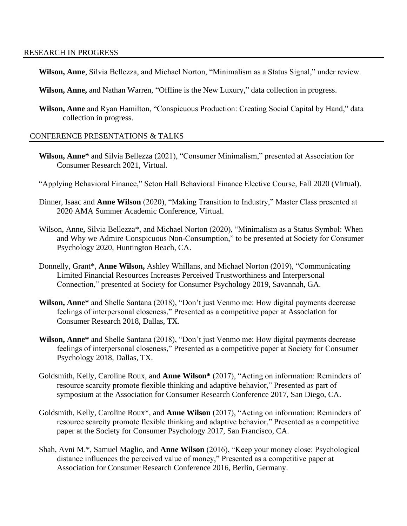#### RESEARCH IN PROGRESS

- **Wilson, Anne**, Silvia Bellezza, and Michael Norton, "Minimalism as a Status Signal," under review.
- **Wilson, Anne,** and Nathan Warren, "Offline is the New Luxury," data collection in progress.
- **Wilson, Anne** and Ryan Hamilton, "Conspicuous Production: Creating Social Capital by Hand," data collection in progress.

#### CONFERENCE PRESENTATIONS & TALKS

- **Wilson, Anne\*** and Silvia Bellezza (2021), "Consumer Minimalism," presented at Association for Consumer Research 2021, Virtual.
- "Applying Behavioral Finance," Seton Hall Behavioral Finance Elective Course, Fall 2020 (Virtual).
- Dinner, Isaac and **Anne Wilson** (2020), "Making Transition to Industry," Master Class presented at 2020 AMA Summer Academic Conference, Virtual.
- Wilson, Anne**,** Silvia Bellezza\*, and Michael Norton (2020), "Minimalism as a Status Symbol: When and Why we Admire Conspicuous Non-Consumption," to be presented at Society for Consumer Psychology 2020, Huntington Beach, CA.
- Donnelly, Grant\*, **Anne Wilson,** Ashley Whillans, and Michael Norton (2019), "Communicating Limited Financial Resources Increases Perceived Trustworthiness and Interpersonal Connection," presented at Society for Consumer Psychology 2019, Savannah, GA.
- **Wilson, Anne\*** and Shelle Santana (2018), "Don't just Venmo me: How digital payments decrease feelings of interpersonal closeness," Presented as a competitive paper at Association for Consumer Research 2018, Dallas, TX.
- **Wilson, Anne\*** and Shelle Santana (2018), "Don't just Venmo me: How digital payments decrease feelings of interpersonal closeness," Presented as a competitive paper at Society for Consumer Psychology 2018, Dallas, TX.
- Goldsmith, Kelly, Caroline Roux, and **Anne Wilson\*** (2017), "Acting on information: Reminders of resource scarcity promote flexible thinking and adaptive behavior," Presented as part of symposium at the Association for Consumer Research Conference 2017, San Diego, CA.
- Goldsmith, Kelly, Caroline Roux\*, and **Anne Wilson** (2017), "Acting on information: Reminders of resource scarcity promote flexible thinking and adaptive behavior," Presented as a competitive paper at the Society for Consumer Psychology 2017, San Francisco, CA.
- Shah, Avni M.\*, Samuel Maglio, and **Anne Wilson** (2016), "Keep your money close: Psychological distance influences the perceived value of money," Presented as a competitive paper at Association for Consumer Research Conference 2016, Berlin, Germany.